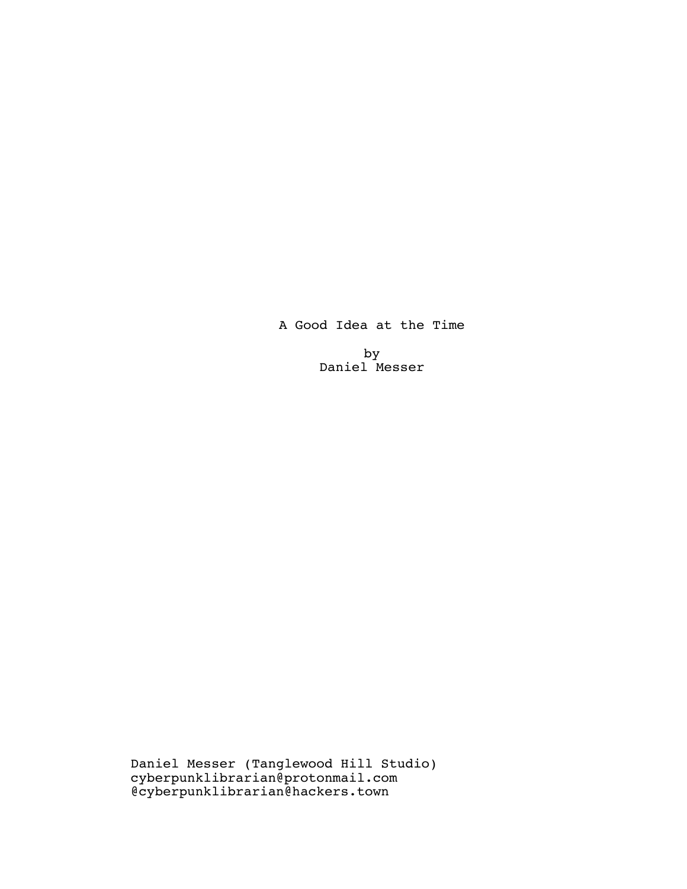A Good Idea at the Time

by Daniel Messer

Daniel Messer (Tanglewood Hill Studio) cyberpunklibrarian@protonmail.com @cyberpunklibrarian@hackers.town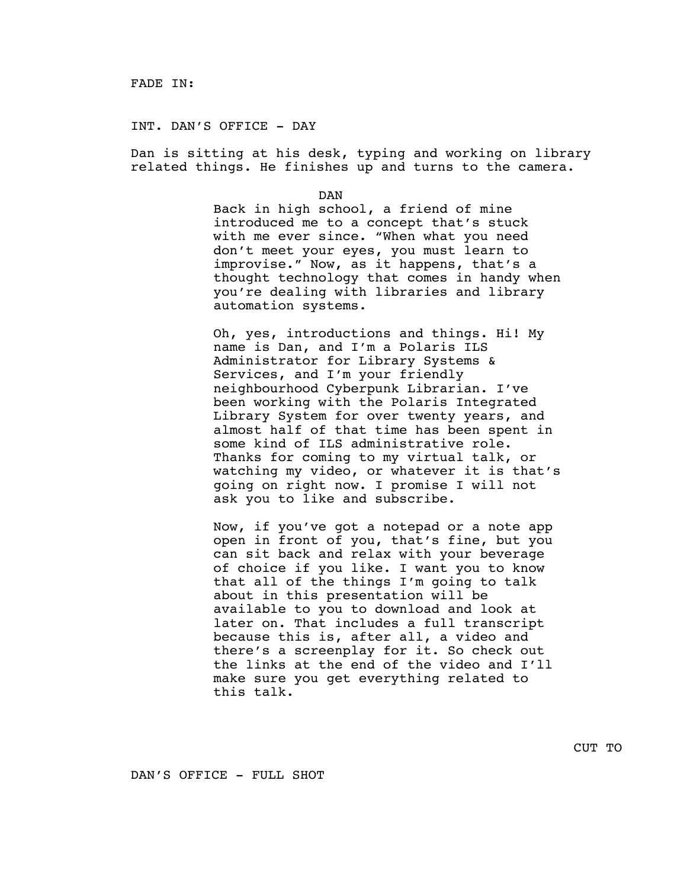<span id="page-1-0"></span>INT. DAN'S OFFICE - DAY

Dan is sitting at his desk, typing and working on library related things. He finishes up and turns to the camera.

DAN

Back in high school, a friend of mine introduced me to a concept that's stuck with me ever since. "When what you need don't meet your eyes, you must learn to improvise." Now, as it happens, that's a thought technology that comes in handy when you're dealing with libraries and library automation systems.

Oh, yes, introductions and things. Hi! My name is Dan, and I'm a Polaris ILS Administrator for Library Systems & Services, and I'm your friendly neighbourhood Cyberpunk Librarian. I've been working with the Polaris Integrated Library System for over twenty years, and almost half of that time has been spent in some kind of ILS administrative role. Thanks for coming to my virtual talk, or watching my video, or whatever it is that's going on right now. I promise I will not ask you to like and subscribe.

Now, if you've got a notepad or a note app open in front of you, that's fine, but you can sit back and relax with your beverage of choice if you like. I want you to know that all of the things I'm going to talk about in this presentation will be available to you to download and look at later on. That includes a full transcript because this is, after all, a video and there's a screenplay for it. So check out the links at the end of the video and I'll make sure you get everything related to this talk.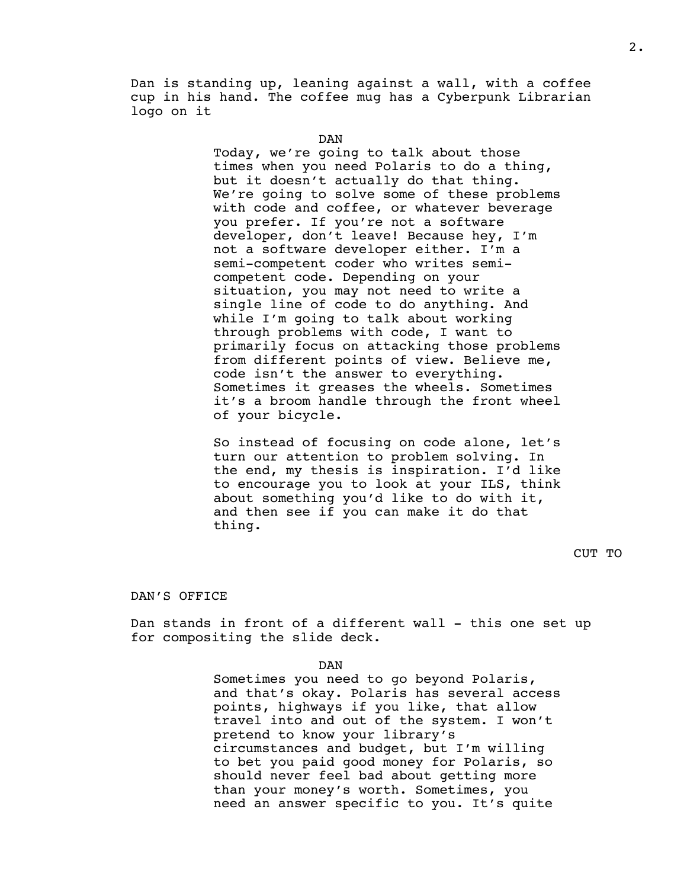Dan is standing up, leaning against a wall, with a coffee cup in his hand. The coffee mug has a Cyberpunk Librarian logo on it

DAN

Today, we're going to talk about those times when you need Polaris to do a thing, but it doesn't actually do that thing. We're going to solve some of these problems with code and coffee, or whatever beverage you prefer. If you're not a software developer, don't leave! Because hey, I'm not a software developer either. I'm a semi-competent coder who writes semicompetent code. Depending on your situation, you may not need to write a single line of code to do anything. And while I'm going to talk about working through problems with code, I want to primarily focus on attacking those problems from different points of view. Believe me, code isn't the answer to everything. Sometimes it greases the wheels. Sometimes it's a broom handle through the front wheel of your bicycle.

So instead of focusing on code alone, let's turn our attention to problem solving. In the end, my thesis is inspiration. I'd like to encourage you to look at your ILS, think about something you'd like to do with it, and then see if you can make it do that thing.

<span id="page-2-0"></span>DAN'S OFFICE

Dan stands in front of a different wall - this one set up for compositing the slide deck.

DAN

Sometimes you need to go beyond Polaris, and that's okay. Polaris has several access points, highways if you like, that allow travel into and out of the system. I won't pretend to know your library's circumstances and budget, but I'm willing to bet you paid good money for Polaris, so should never feel bad about getting more than your money's worth. Sometimes, you need an answer specific to you. It's quite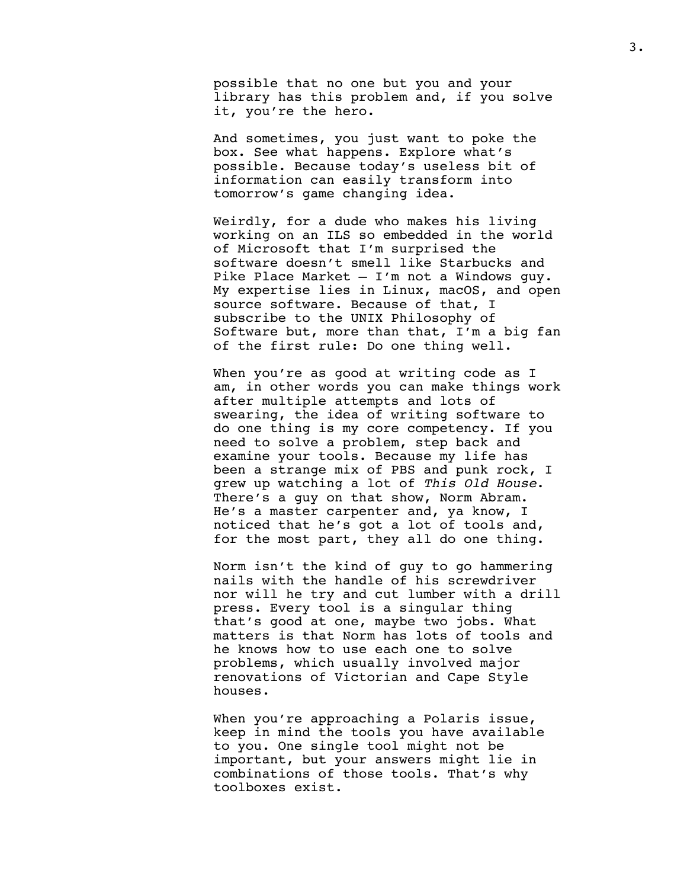possible that no one but you and your library has this problem and, if you solve it, you're the hero.

And sometimes, you just want to poke the box. See what happens. Explore what's possible. Because today's useless bit of information can easily transform into tomorrow's game changing idea.

Weirdly, for a dude who makes his living working on an ILS so embedded in the world of Microsoft that I'm surprised the software doesn't smell like Starbucks and Pike Place Market — I'm not a Windows guy. My expertise lies in Linux, macOS, and open source software. Because of that, I subscribe to the UNIX Philosophy of Software but, more than that, I'm a big fan of the first rule: Do one thing well.

When you're as good at writing code as I am, in other words you can make things work after multiple attempts and lots of swearing, the idea of writing software to do one thing is my core competency. If you need to solve a problem, step back and examine your tools. Because my life has been a strange mix of PBS and punk rock, I grew up watching a lot of *This Old House*. There's a guy on that show, Norm Abram. He's a master carpenter and, ya know, I noticed that he's got a lot of tools and, for the most part, they all do one thing.

Norm isn't the kind of guy to go hammering nails with the handle of his screwdriver nor will he try and cut lumber with a drill press. Every tool is a singular thing that's good at one, maybe two jobs. What matters is that Norm has lots of tools and he knows how to use each one to solve problems, which usually involved major renovations of Victorian and Cape Style houses.

When you're approaching a Polaris issue, keep in mind the tools you have available to you. One single tool might not be important, but your answers might lie in combinations of those tools. That's why toolboxes exist.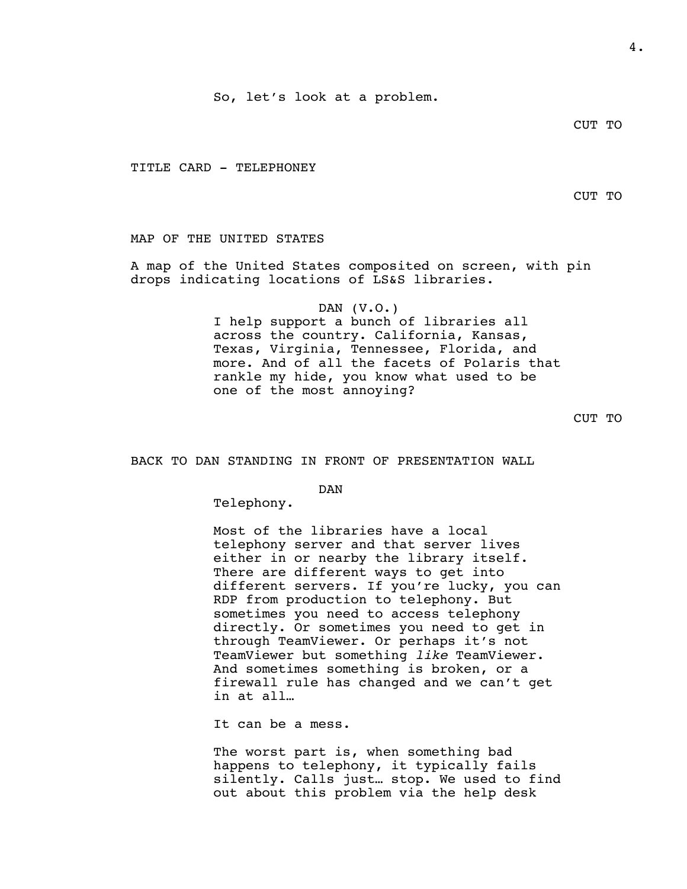So, let's look at a problem.

## CUT TO

<span id="page-4-0"></span>TITLE CARD - TELEPHONEY

CUT TO

<span id="page-4-1"></span>MAP OF THE UNITED STATES

A map of the United States composited on screen, with pin drops indicating locations of LS&S libraries.

## DAN (V.O.)

I help support a bunch of libraries all across the country. California, Kansas, Texas, Virginia, Tennessee, Florida, and more. And of all the facets of Polaris that rankle my hide, you know what used to be one of the most annoying?

CUT TO

<span id="page-4-2"></span>BACK TO DAN STANDING IN FRONT OF PRESENTATION WALL

DAN

Telephony.

Most of the libraries have a local telephony server and that server lives either in or nearby the library itself. There are different ways to get into different servers. If you're lucky, you can RDP from production to telephony. But sometimes you need to access telephony directly. Or sometimes you need to get in through TeamViewer. Or perhaps it's not TeamViewer but something *like* TeamViewer. And sometimes something is broken, or a firewall rule has changed and we can't get in at all…

It can be a mess.

The worst part is, when something bad happens to telephony, it typically fails silently. Calls just… stop. We used to find out about this problem via the help desk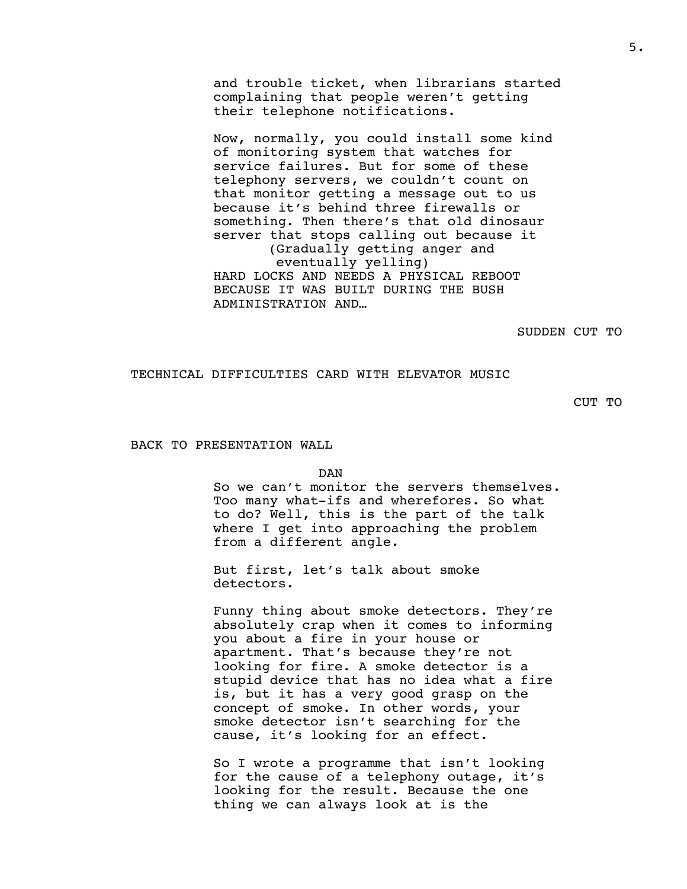and trouble ticket, when librarians started complaining that people weren't getting their telephone notifications.

Now, normally, you could install some kind of monitoring system that watches for service failures. But for some of these telephony servers, we couldn't count on that monitor getting a message out to us because it's behind three firewalls or something. Then there's that old dinosaur server that stops calling out because it (Gradually getting anger and eventually yelling) HARD LOCKS AND NEEDS A PHYSICAL REBOOT BECAUSE IT WAS BUILT DURING THE BUSH ADMINISTRATION AND…

SUDDEN CUT TO

<span id="page-5-0"></span>TECHNICAL DIFFICULTIES CARD WITH ELEVATOR MUSIC

CUT TO

<span id="page-5-1"></span>BACK TO PRESENTATION WALL

DAN

So we can't monitor the servers themselves. Too many what-ifs and wherefores. So what to do? Well, this is the part of the talk where I get into approaching the problem from a different angle.

But first, let's talk about smoke detectors.

Funny thing about smoke detectors. They're absolutely crap when it comes to informing you about a fire in your house or apartment. That's because they're not looking for fire. A smoke detector is a stupid device that has no idea what a fire is, but it has a very good grasp on the concept of smoke. In other words, your smoke detector isn't searching for the cause, it's looking for an effect.

So I wrote a programme that isn't looking for the cause of a telephony outage, it's looking for the result. Because the one thing we can always look at is the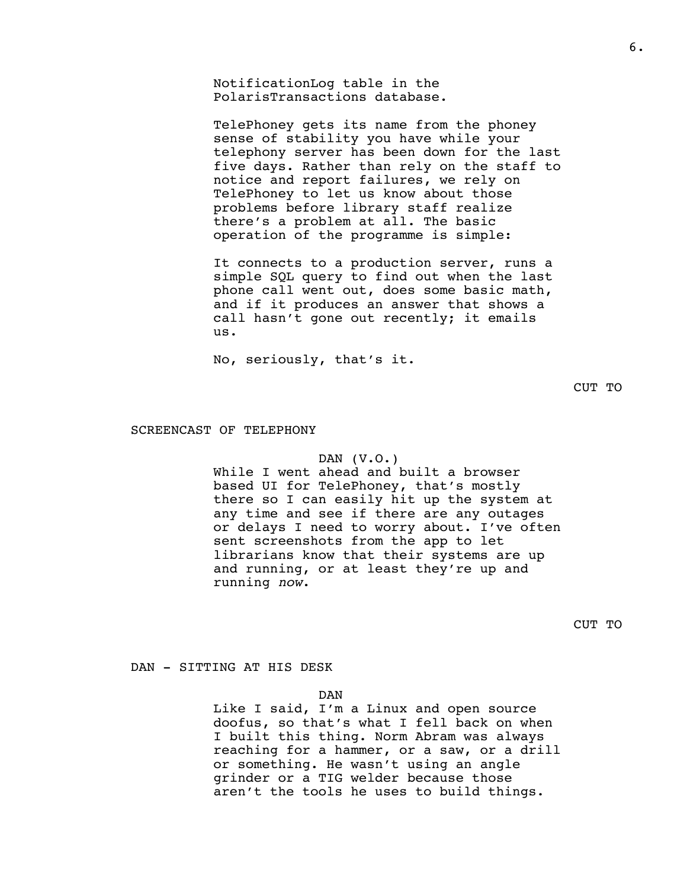NotificationLog table in the PolarisTransactions database.

TelePhoney gets its name from the phoney sense of stability you have while your telephony server has been down for the last five days. Rather than rely on the staff to notice and report failures, we rely on TelePhoney to let us know about those problems before library staff realize there's a problem at all. The basic operation of the programme is simple:

It connects to a production server, runs a simple SQL query to find out when the last phone call went out, does some basic math, and if it produces an answer that shows a call hasn't gone out recently; it emails us.

No, seriously, that's it.

CUT TO

#### <span id="page-6-0"></span>SCREENCAST OF TELEPHONY

#### DAN (V.O.)

While I went ahead and built a browser based UI for TelePhoney, that's mostly there so I can easily hit up the system at any time and see if there are any outages or delays I need to worry about. I've often sent screenshots from the app to let librarians know that their systems are up and running, or at least they're up and running *now*.

CUT TO

<span id="page-6-1"></span>DAN - SITTING AT HIS DESK

DAN

Like I said, I'm a Linux and open source doofus, so that's what I fell back on when I built this thing. Norm Abram was always reaching for a hammer, or a saw, or a drill or something. He wasn't using an angle grinder or a TIG welder because those aren't the tools he uses to build things.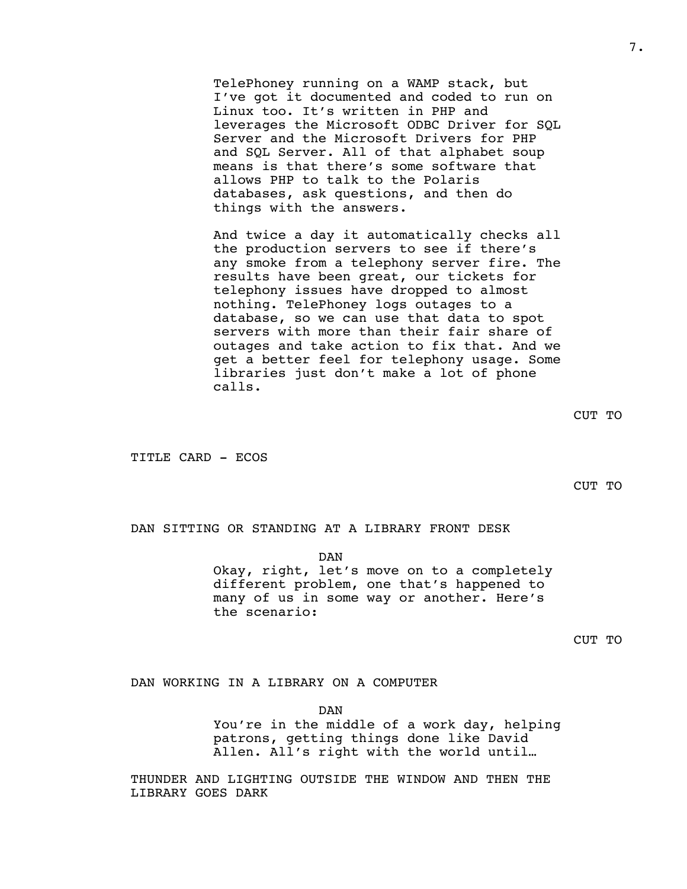TelePhoney running on a WAMP stack, but I've got it documented and coded to run on Linux too. It's written in PHP and leverages the Microsoft ODBC Driver for SOL Server and the Microsoft Drivers for PHP and SQL Server. All of that alphabet soup means is that there's some software that allows PHP to talk to the Polaris databases, ask questions, and then do things with the answers.

And twice a day it automatically checks all the production servers to see if there's any smoke from a telephony server fire. The results have been great, our tickets for telephony issues have dropped to almost nothing. TelePhoney logs outages to a database, so we can use that data to spot servers with more than their fair share of outages and take action to fix that. And we get a better feel for telephony usage. Some libraries just don't make a lot of phone calls.

CUT TO

<span id="page-7-0"></span>TITLE CARD - ECOS

CUT TO

<span id="page-7-1"></span>DAN SITTING OR STANDING AT A LIBRARY FRONT DESK

DAN

Okay, right, let's move on to a completely different problem, one that's happened to many of us in some way or another. Here's the scenario:

CUT TO

<span id="page-7-2"></span>DAN WORKING IN A LIBRARY ON A COMPUTER

DAN You're in the middle of a work day, helping patrons, getting things done like David Allen. All's right with the world until…

THUNDER AND LIGHTING OUTSIDE THE WINDOW AND THEN THE LIBRARY GOES DARK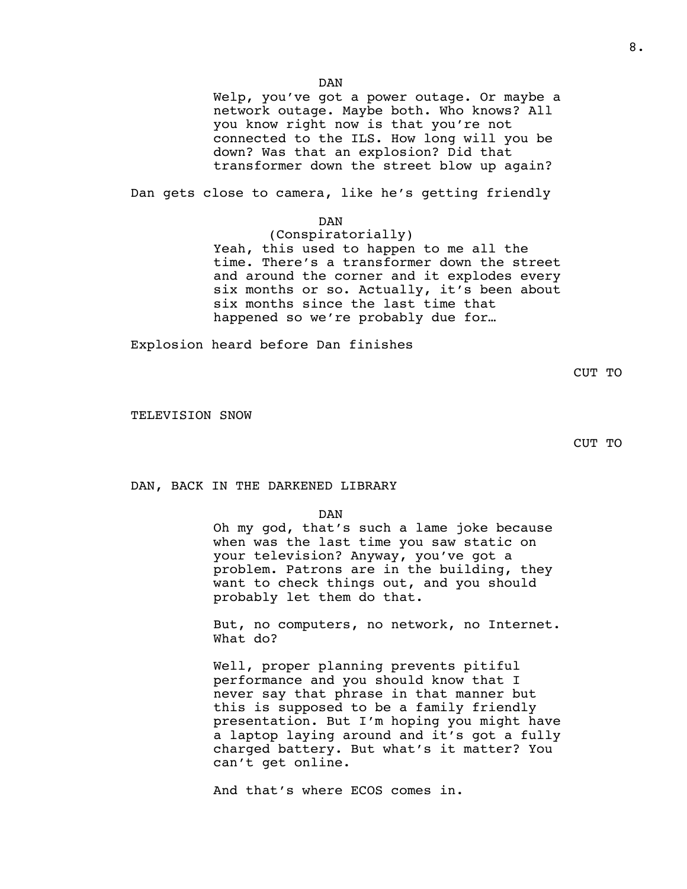DAN

Welp, you've got a power outage. Or maybe a network outage. Maybe both. Who knows? All you know right now is that you're not connected to the ILS. How long will you be down? Was that an explosion? Did that transformer down the street blow up again?

Dan gets close to camera, like he's getting friendly

DAN

(Conspiratorially) Yeah, this used to happen to me all the time. There's a transformer down the street and around the corner and it explodes every six months or so. Actually, it's been about six months since the last time that happened so we're probably due for…

Explosion heard before Dan finishes

CUT TO

<span id="page-8-0"></span>TELEVISION SNOW

CUT TO

<span id="page-8-1"></span>DAN, BACK IN THE DARKENED LIBRARY

#### DAN

Oh my god, that's such a lame joke because when was the last time you saw static on your television? Anyway, you've got a problem. Patrons are in the building, they want to check things out, and you should probably let them do that.

But, no computers, no network, no Internet. What do?

Well, proper planning prevents pitiful performance and you should know that I never say that phrase in that manner but this is supposed to be a family friendly presentation. But I'm hoping you might have a laptop laying around and it's got a fully charged battery. But what's it matter? You can't get online.

And that's where ECOS comes in.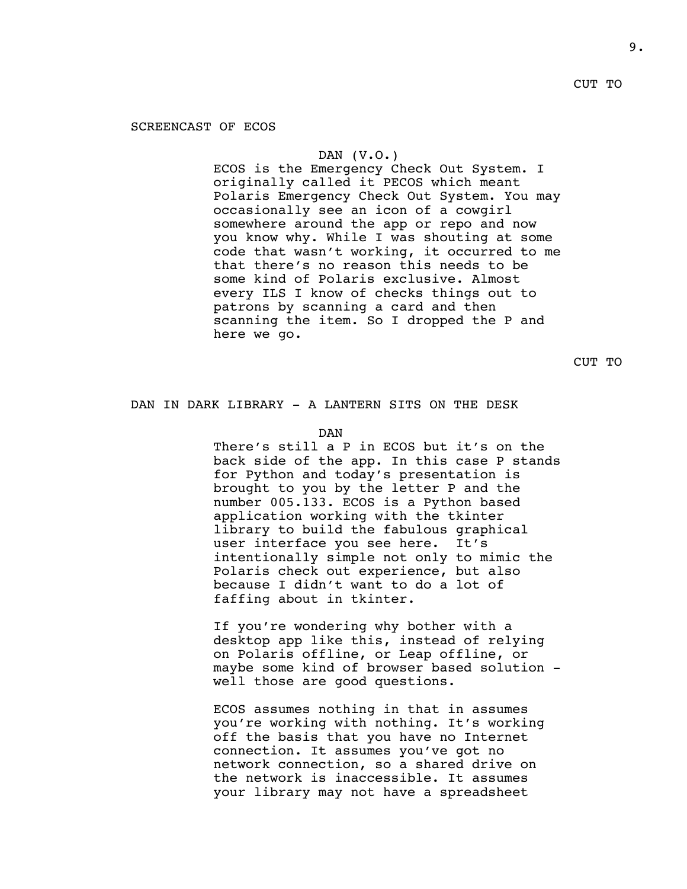# <span id="page-9-0"></span>SCREENCAST OF ECOS

#### DAN (V.O.)

ECOS is the Emergency Check Out System. I originally called it PECOS which meant Polaris Emergency Check Out System. You may occasionally see an icon of a cowgirl somewhere around the app or repo and now you know why. While I was shouting at some code that wasn't working, it occurred to me that there's no reason this needs to be some kind of Polaris exclusive. Almost every ILS I know of checks things out to patrons by scanning a card and then scanning the item. So I dropped the P and here we go.

CUT TO

#### <span id="page-9-1"></span>DAN IN DARK LIBRARY - A LANTERN SITS ON THE DESK

DAN

There's still a P in ECOS but it's on the back side of the app. In this case P stands for Python and today's presentation is brought to you by the letter P and the number 005.133. ECOS is a Python based application working with the tkinter library to build the fabulous graphical user interface you see here. It's intentionally simple not only to mimic the Polaris check out experience, but also because I didn't want to do a lot of faffing about in tkinter.

If you're wondering why bother with a desktop app like this, instead of relying on Polaris offline, or Leap offline, or maybe some kind of browser based solution well those are good questions.

ECOS assumes nothing in that in assumes you're working with nothing. It's working off the basis that you have no Internet connection. It assumes you've got no network connection, so a shared drive on the network is inaccessible. It assumes your library may not have a spreadsheet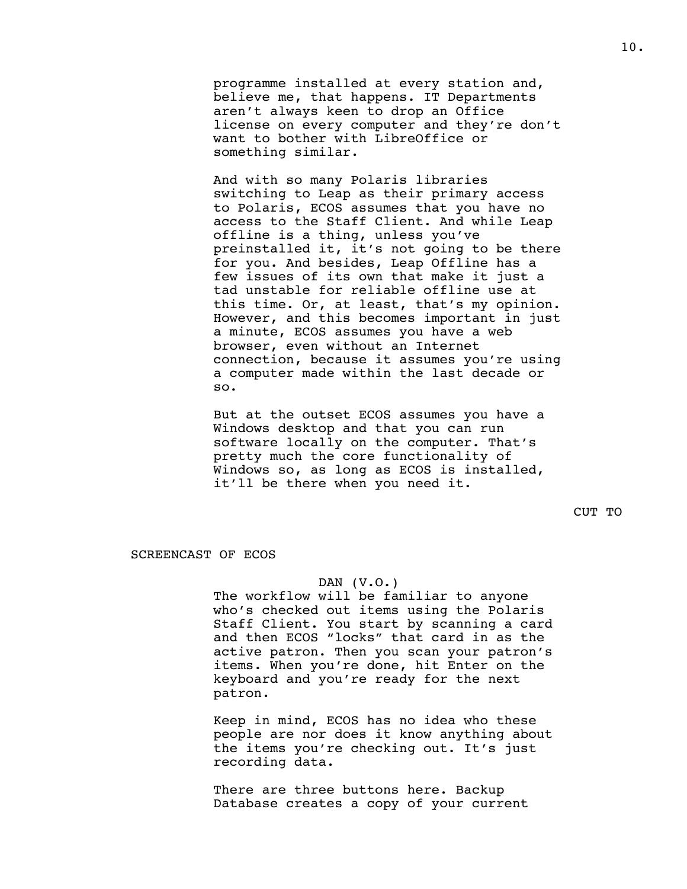programme installed at every station and, believe me, that happens. IT Departments aren't always keen to drop an Office license on every computer and they're don't want to bother with LibreOffice or something similar.

And with so many Polaris libraries switching to Leap as their primary access to Polaris, ECOS assumes that you have no access to the Staff Client. And while Leap offline is a thing, unless you've preinstalled it, it's not going to be there for you. And besides, Leap Offline has a few issues of its own that make it just a tad unstable for reliable offline use at this time. Or, at least, that's my opinion. However, and this becomes important in just a minute, ECOS assumes you have a web browser, even without an Internet connection, because it assumes you're using a computer made within the last decade or so.

But at the outset ECOS assumes you have a Windows desktop and that you can run software locally on the computer. That's pretty much the core functionality of Windows so, as long as ECOS is installed, it'll be there when you need it.

CUT TO

<span id="page-10-0"></span>SCREENCAST OF ECOS

#### DAN (V.O.)

The workflow will be familiar to anyone who's checked out items using the Polaris Staff Client. You start by scanning a card and then ECOS "locks" that card in as the active patron. Then you scan your patron's items. When you're done, hit Enter on the keyboard and you're ready for the next patron.

Keep in mind, ECOS has no idea who these people are nor does it know anything about the items you're checking out. It's just recording data.

There are three buttons here. Backup Database creates a copy of your current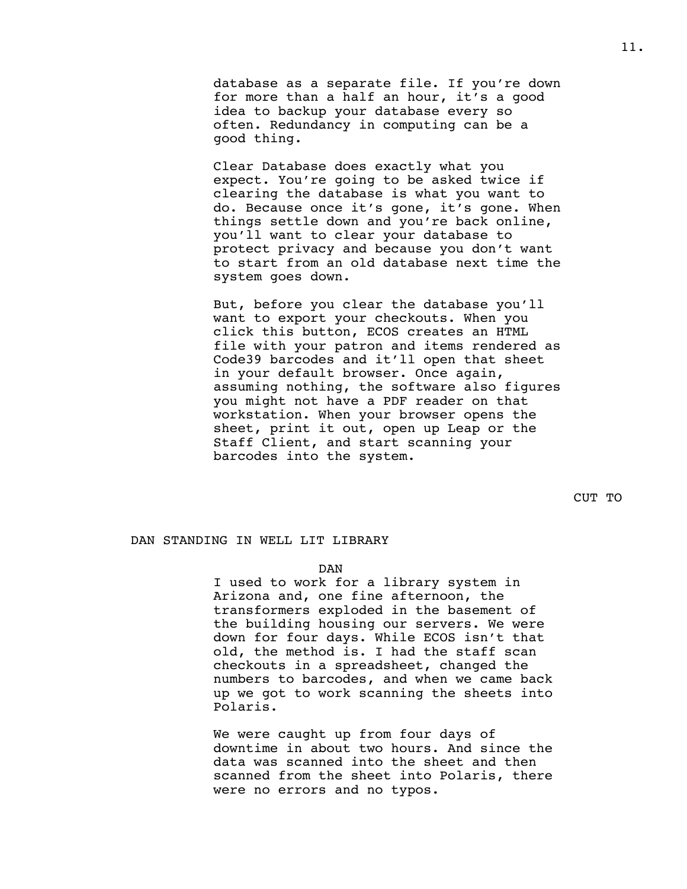database as a separate file. If you're down for more than a half an hour, it's a good idea to backup your database every so often. Redundancy in computing can be a good thing.

Clear Database does exactly what you expect. You're going to be asked twice if clearing the database is what you want to do. Because once it's gone, it's gone. When things settle down and you're back online, you'll want to clear your database to protect privacy and because you don't want to start from an old database next time the system goes down.

But, before you clear the database you'll want to export your checkouts. When you click this button, ECOS creates an HTML file with your patron and items rendered as Code39 barcodes and it'll open that sheet in your default browser. Once again, assuming nothing, the software also figures you might not have a PDF reader on that workstation. When your browser opens the sheet, print it out, open up Leap or the Staff Client, and start scanning your barcodes into the system.

CUT TO

# <span id="page-11-0"></span>DAN STANDING IN WELL LIT LIBRARY

#### DAN

I used to work for a library system in Arizona and, one fine afternoon, the transformers exploded in the basement of the building housing our servers. We were down for four days. While ECOS isn't that old, the method is. I had the staff scan checkouts in a spreadsheet, changed the numbers to barcodes, and when we came back up we got to work scanning the sheets into Polaris.

We were caught up from four days of downtime in about two hours. And since the data was scanned into the sheet and then scanned from the sheet into Polaris, there were no errors and no typos.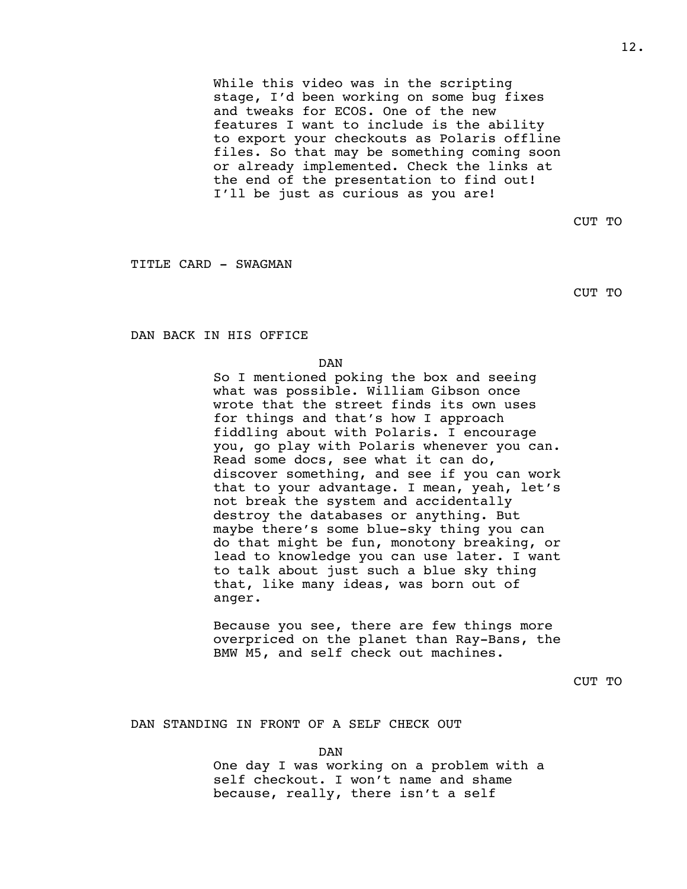While this video was in the scripting stage, I'd been working on some bug fixes and tweaks for ECOS. One of the new features I want to include is the ability to export your checkouts as Polaris offline files. So that may be something coming soon or already implemented. Check the links at the end of the presentation to find out! I'll be just as curious as you are!

CUT TO

<span id="page-12-0"></span>TITLE CARD - SWAGMAN

CUT TO

<span id="page-12-1"></span>DAN BACK IN HIS OFFICE

DAN

So I mentioned poking the box and seeing what was possible. William Gibson once wrote that the street finds its own uses for things and that's how I approach fiddling about with Polaris. I encourage you, go play with Polaris whenever you can. Read some docs, see what it can do, discover something, and see if you can work that to your advantage. I mean, yeah, let's not break the system and accidentally destroy the databases or anything. But maybe there's some blue-sky thing you can do that might be fun, monotony breaking, or lead to knowledge you can use later. I want to talk about just such a blue sky thing that, like many ideas, was born out of anger.

Because you see, there are few things more overpriced on the planet than Ray-Bans, the BMW M5, and self check out machines.

CUT TO

<span id="page-12-2"></span>DAN STANDING IN FRONT OF A SELF CHECK OUT

DAN One day I was working on a problem with a self checkout. I won't name and shame because, really, there isn't a self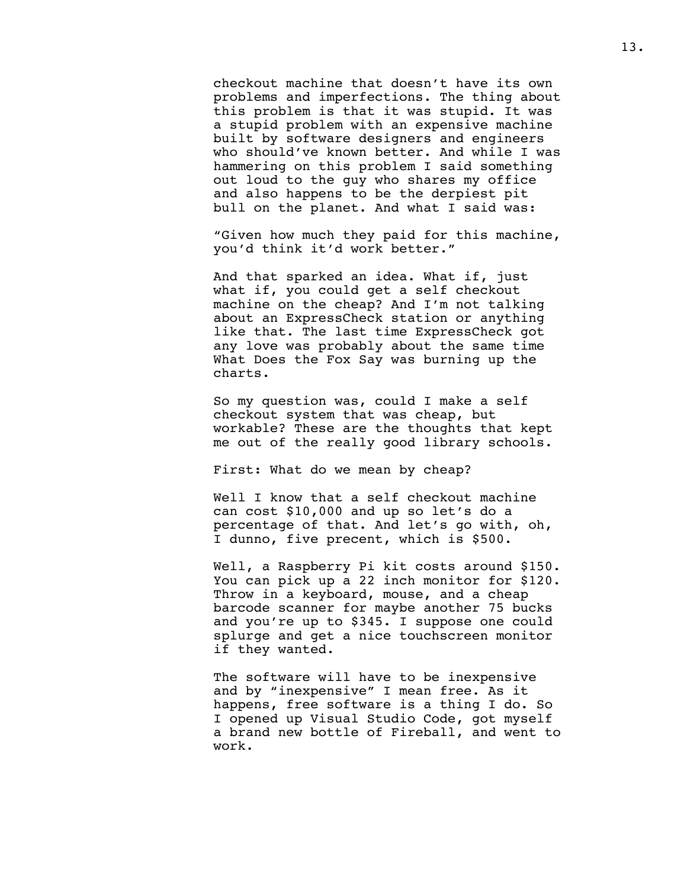checkout machine that doesn't have its own problems and imperfections. The thing about this problem is that it was stupid. It was a stupid problem with an expensive machine built by software designers and engineers who should've known better. And while I was hammering on this problem I said something out loud to the guy who shares my office and also happens to be the derpiest pit bull on the planet. And what I said was:

"Given how much they paid for this machine, you'd think it'd work better."

And that sparked an idea. What if, just what if, you could get a self checkout machine on the cheap? And I'm not talking about an ExpressCheck station or anything like that. The last time ExpressCheck got any love was probably about the same time What Does the Fox Say was burning up the charts.

So my question was, could I make a self checkout system that was cheap, but workable? These are the thoughts that kept me out of the really good library schools.

First: What do we mean by cheap?

Well I know that a self checkout machine can cost \$10,000 and up so let's do a percentage of that. And let's go with, oh, I dunno, five precent, which is \$500.

Well, a Raspberry Pi kit costs around \$150. You can pick up a 22 inch monitor for \$120. Throw in a keyboard, mouse, and a cheap barcode scanner for maybe another 75 bucks and you're up to \$345. I suppose one could splurge and get a nice touchscreen monitor if they wanted.

The software will have to be inexpensive and by "inexpensive" I mean free. As it happens, free software is a thing I do. So I opened up Visual Studio Code, got myself a brand new bottle of Fireball, and went to work.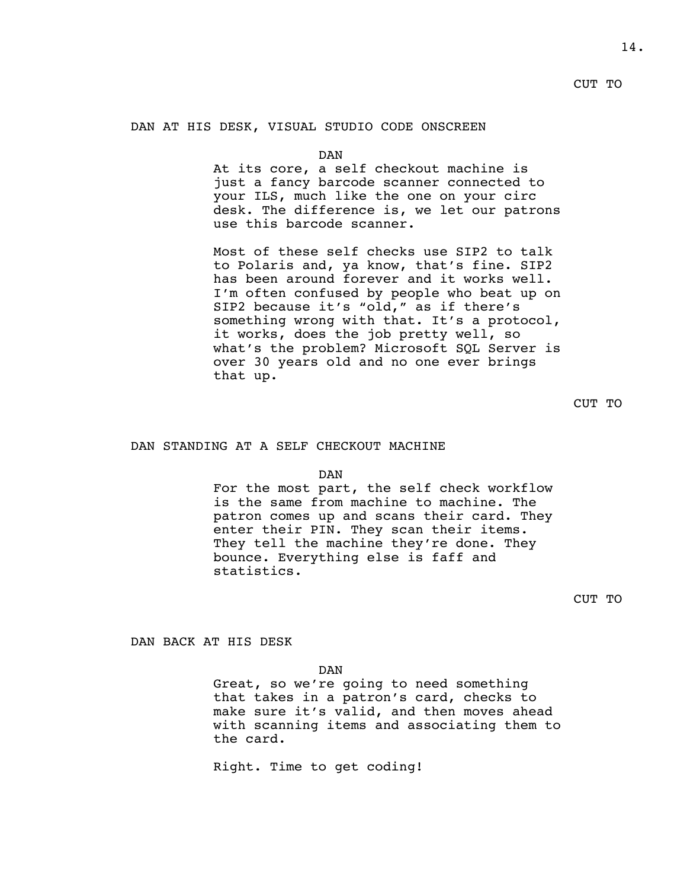#### <span id="page-14-0"></span>DAN AT HIS DESK, VISUAL STUDIO CODE ONSCREEN

DAN

At its core, a self checkout machine is just a fancy barcode scanner connected to your ILS, much like the one on your circ desk. The difference is, we let our patrons use this barcode scanner.

Most of these self checks use SIP2 to talk to Polaris and, ya know, that's fine. SIP2 has been around forever and it works well. I'm often confused by people who beat up on SIP2 because it's "old," as if there's something wrong with that. It's a protocol, it works, does the job pretty well, so what's the problem? Microsoft SQL Server is over 30 years old and no one ever brings that up.

CUT TO

## <span id="page-14-1"></span>DAN STANDING AT A SELF CHECKOUT MACHINE

DAN

For the most part, the self check workflow is the same from machine to machine. The patron comes up and scans their card. They enter their PIN. They scan their items. They tell the machine they're done. They bounce. Everything else is faff and statistics.

CUT TO

<span id="page-14-2"></span>DAN BACK AT HIS DESK

DAN

Great, so we're going to need something that takes in a patron's card, checks to make sure it's valid, and then moves ahead with scanning items and associating them to the card.

Right. Time to get coding!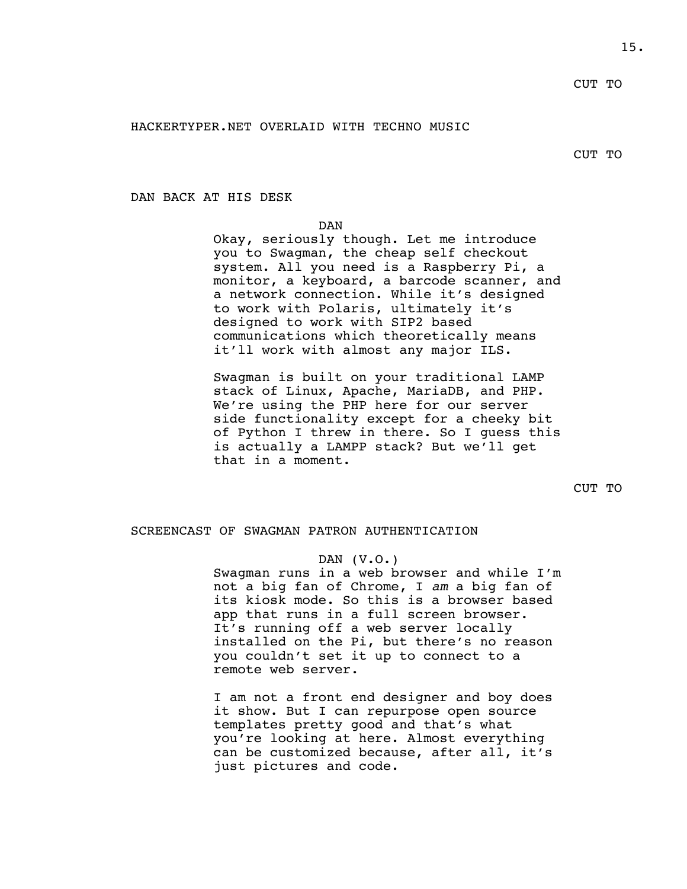# <span id="page-15-0"></span>HACKERTYPER.NET OVERLAID WITH TECHNO MUSIC

CUT TO

<span id="page-15-1"></span>DAN BACK AT HIS DESK

DAN

Okay, seriously though. Let me introduce you to Swagman, the cheap self checkout system. All you need is a Raspberry Pi, a monitor, a keyboard, a barcode scanner, and a network connection. While it's designed to work with Polaris, ultimately it's designed to work with SIP2 based communications which theoretically means it'll work with almost any major ILS.

Swagman is built on your traditional LAMP stack of Linux, Apache, MariaDB, and PHP. We're using the PHP here for our server side functionality except for a cheeky bit of Python I threw in there. So I guess this is actually a LAMPP stack? But we'll get that in a moment.

CUT TO

# <span id="page-15-2"></span>SCREENCAST OF SWAGMAN PATRON AUTHENTICATION

## DAN (V.O.)

Swagman runs in a web browser and while I'm not a big fan of Chrome, I *am* a big fan of its kiosk mode. So this is a browser based app that runs in a full screen browser. It's running off a web server locally installed on the Pi, but there's no reason you couldn't set it up to connect to a remote web server.

I am not a front end designer and boy does it show. But I can repurpose open source templates pretty good and that's what you're looking at here. Almost everything can be customized because, after all, it's just pictures and code.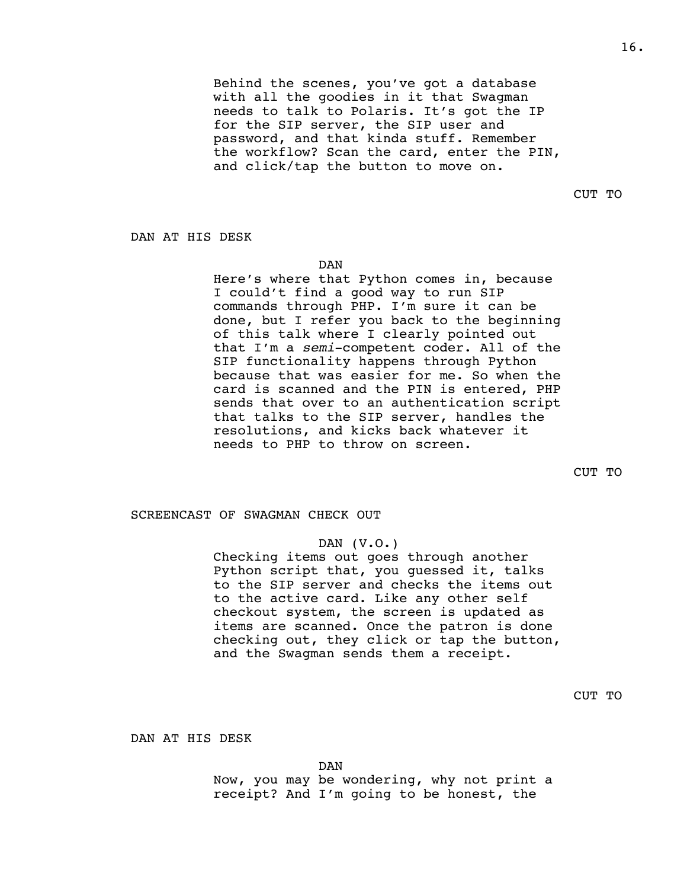Behind the scenes, you've got a database with all the goodies in it that Swagman needs to talk to Polaris. It's got the IP for the SIP server, the SIP user and password, and that kinda stuff. Remember the workflow? Scan the card, enter the PIN, and click/tap the button to move on.

CUT TO

<span id="page-16-0"></span>DAN AT HIS DESK

DAN

Here's where that Python comes in, because I could't find a good way to run SIP commands through PHP. I'm sure it can be done, but I refer you back to the beginning of this talk where I clearly pointed out that I'm a *semi*-competent coder. All of the SIP functionality happens through Python because that was easier for me. So when the card is scanned and the PIN is entered, PHP sends that over to an authentication script that talks to the SIP server, handles the resolutions, and kicks back whatever it needs to PHP to throw on screen.

CUT TO

## <span id="page-16-1"></span>SCREENCAST OF SWAGMAN CHECK OUT

# DAN (V.O.)

Checking items out goes through another Python script that, you guessed it, talks to the SIP server and checks the items out to the active card. Like any other self checkout system, the screen is updated as items are scanned. Once the patron is done checking out, they click or tap the button, and the Swagman sends them a receipt.

CUT TO

<span id="page-16-2"></span>DAN AT HIS DESK

DAN

Now, you may be wondering, why not print a receipt? And I'm going to be honest, the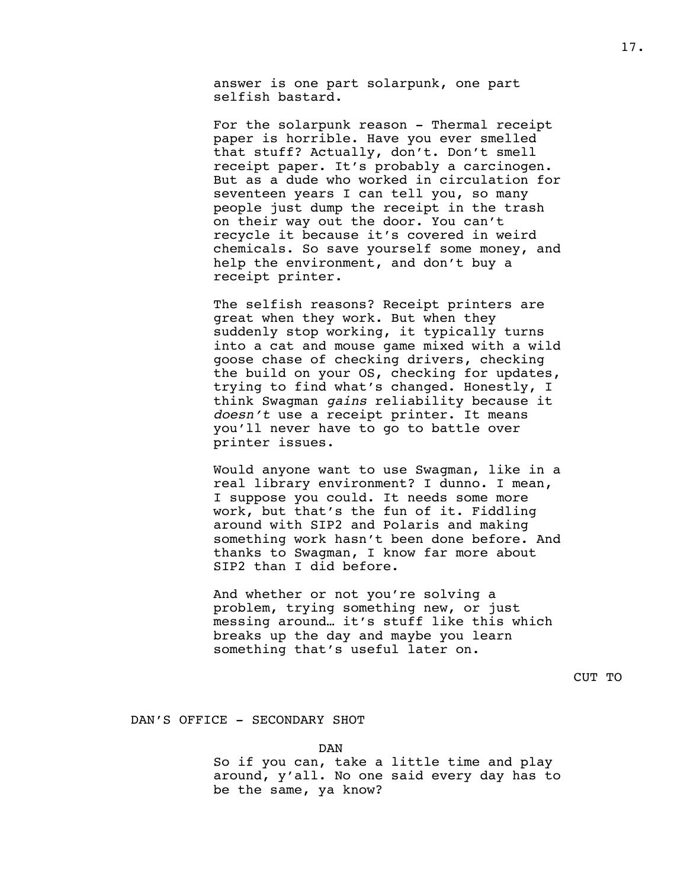answer is one part solarpunk, one part selfish bastard.

For the solarpunk reason - Thermal receipt paper is horrible. Have you ever smelled that stuff? Actually, don't. Don't smell receipt paper. It's probably a carcinogen. But as a dude who worked in circulation for seventeen years I can tell you, so many people just dump the receipt in the trash on their way out the door. You can't recycle it because it's covered in weird chemicals. So save yourself some money, and help the environment, and don't buy a receipt printer.

The selfish reasons? Receipt printers are great when they work. But when they suddenly stop working, it typically turns into a cat and mouse game mixed with a wild goose chase of checking drivers, checking the build on your OS, checking for updates, trying to find what's changed. Honestly, I think Swagman *gains* reliability because it *doesn't* use a receipt printer. It means you'll never have to go to battle over printer issues.

Would anyone want to use Swagman, like in a real library environment? I dunno. I mean, I suppose you could. It needs some more work, but that's the fun of it. Fiddling around with SIP2 and Polaris and making something work hasn't been done before. And thanks to Swagman, I know far more about SIP2 than I did before.

And whether or not you're solving a problem, trying something new, or just messing around… it's stuff like this which breaks up the day and maybe you learn something that's useful later on.

CUT TO

#### <span id="page-17-0"></span>DAN'S OFFICE - SECONDARY SHOT

DAN

So if you can, take a little time and play around, y'all. No one said every day has to be the same, ya know?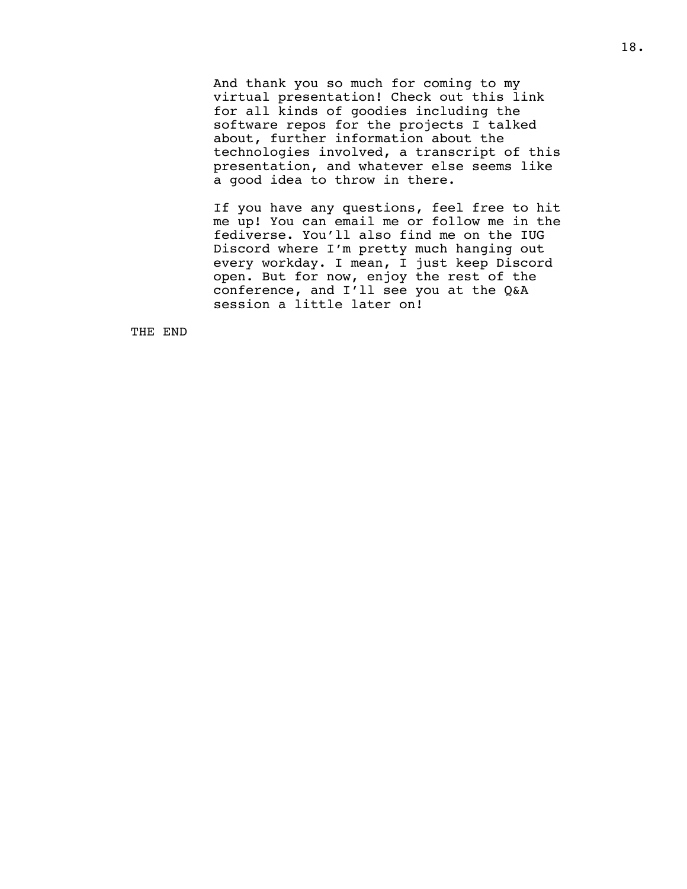And thank you so much for coming to my virtual presentation! Check out this link for all kinds of goodies including the software repos for the projects I talked about, further information about the technologies involved, a transcript of this presentation, and whatever else seems like a good idea to throw in there.

If you have any questions, feel free to hit me up! You can email me or follow me in the fediverse. You'll also find me on the IUG Discord where I'm pretty much hanging out every workday. I mean, I just keep Discord open. But for now, enjoy the rest of the conference, and I'll see you at the Q&A session a little later on!

THE END